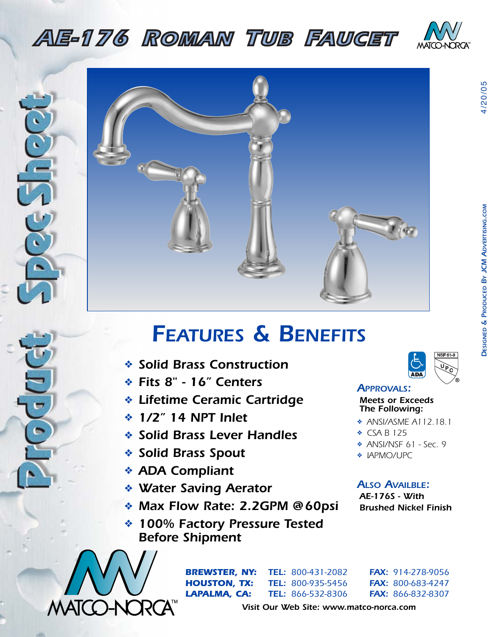## *AE-176 ROMAN TUB FAUCET*

*AE-175 WIDESPREAD LAVATORY FAUCET*





## *FEATURES & BENEFITS*

- ❖ *Solid Brass Construction*
- ❖ *Fits 8" 16" Centers*
- ❖ *Lifetime Ceramic Cartridge*
- ❖ *1/2" 14 NPT Inlet*
- ❖ *Solid Brass Lever Handles*
- **FT-300WB <b>***ADA Compliant SHAPP ADA Compliant* ❖ *Solid Brass Spout*
	- ❖ *ADA Compliant*
	- ❖ *Water Saving Aerator*
- *FT-300WLP SETTING PICTRICS*<br>Max Flow Rate: 2.2GPM @60psi Brus
- **FT-310ED/FT-310ED/FT-310ED/FT-310ED/FT-310ED/FT-310ED/FT-310ED/FT-310ED/FT-310ED/FT-310ED/FT-310ED/FT-310ED/FT-310ED/FT-310ED/FT-310ED/FT-310ED/FT-310ED/FT-310ED/FT-310ED/FT-310ED/FT-310ED/FT-310ED/FT-310ED/FT-310ED/FT-31** ❖ *100% Factory Pressure Tested*



*BREWSTER, NY: TEL: 800-431-2082 FAX: 914-278-9056 HOUSTON, TX: TEL: 800-935-5456 FAX: 800-683-4247 LAPALMA, CA: TEL: 866-532-8306 FAX: 866-832-8307*



*APPROVALS: Meets or Exceeds* 

*The Following:*

- ❖ *ANSI/ASME A112.18.1*
- ❖ *CSA B 125*
- ❖ *ANSI/NSF 61 Sec. 9*
- ❖ *IAPMO/UPC*

## *ALSO AVAILBLE:*

*AE-176S - With Brushed Nickel Finish*